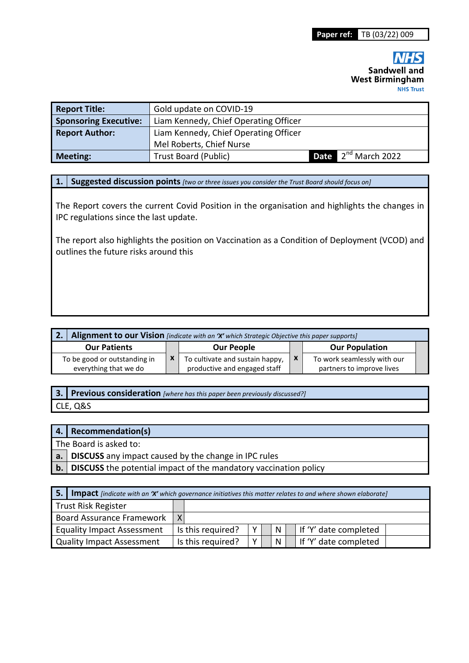| <b>Report Title:</b>         | Gold update on COVID-19               |                                 |
|------------------------------|---------------------------------------|---------------------------------|
| <b>Sponsoring Executive:</b> | Liam Kennedy, Chief Operating Officer |                                 |
| <b>Report Author:</b>        | Liam Kennedy, Chief Operating Officer |                                 |
|                              | Mel Roberts, Chief Nurse              |                                 |
| <b>Meeting:</b>              | Trust Board (Public)                  | Date 2 <sup>nd</sup> March 2022 |

**1. Suggested discussion points** *[two or three issues you consider the Trust Board should focus on]* 

The Report covers the current Covid Position in the organisation and highlights the changes in IPC regulations since the last update.

The report also highlights the position on Vaccination as a Condition of Deployment (VCOD) and outlines the future risks around this

| 2. Alignment to our Vision [indicate with an 'X' which Strategic Objective this paper supports] |  |                                                                 |              |                                                          |  |  |  |  |
|-------------------------------------------------------------------------------------------------|--|-----------------------------------------------------------------|--------------|----------------------------------------------------------|--|--|--|--|
| <b>Our Patients</b>                                                                             |  | <b>Our People</b>                                               |              | <b>Our Population</b>                                    |  |  |  |  |
| To be good or outstanding in<br>everything that we do                                           |  | To cultivate and sustain happy,<br>productive and engaged staff | $\mathbf{x}$ | To work seamlessly with our<br>partners to improve lives |  |  |  |  |

**3. Previous consideration** *[where has this paper been previously discussed?]*

CLE, Q&S

### **4. Recommendation(s)**

The Board is asked to:

**a. DISCUSS** any impact caused by the change in IPC rules

**b. DISCUSS** the potential impact of the mandatory vaccination policy

| 5.<br><b>Impact</b> [indicate with an 'X' which governance initiatives this matter relates to and where shown elaborate] |   |                   |        |  |   |  |                         |
|--------------------------------------------------------------------------------------------------------------------------|---|-------------------|--------|--|---|--|-------------------------|
| Trust Risk Register                                                                                                      |   |                   |        |  |   |  |                         |
| <b>Board Assurance Framework</b>                                                                                         | x |                   |        |  |   |  |                         |
| <b>Equality Impact Assessment</b>                                                                                        |   | Is this required? | v      |  | N |  | l If 'Y' date completed |
| <b>Quality Impact Assessment</b>                                                                                         |   | Is this required? | $\vee$ |  | N |  | If 'Y' date completed   |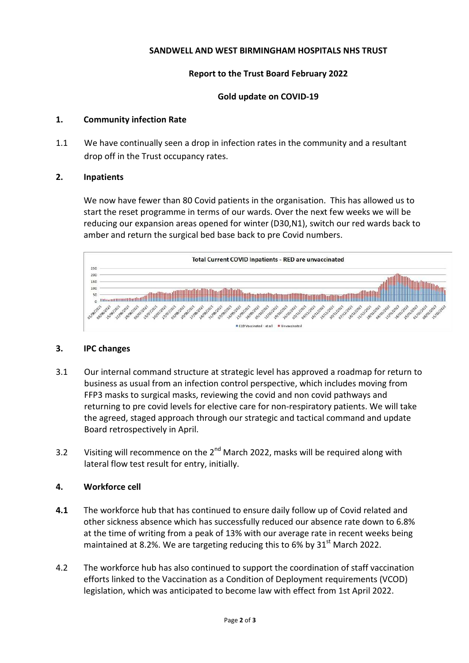# **SANDWELL AND WEST BIRMINGHAM HOSPITALS NHS TRUST**

# **Report to the Trust Board February 2022**

## **Gold update on COVID-19**

## **1. Community infection Rate**

1.1 We have continually seen a drop in infection rates in the community and a resultant drop off in the Trust occupancy rates.

### **2. Inpatients**

We now have fewer than 80 Covid patients in the organisation. This has allowed us to start the reset programme in terms of our wards. Over the next few weeks we will be reducing our expansion areas opened for winter (D30,N1), switch our red wards back to amber and return the surgical bed base back to pre Covid numbers.



### **3. IPC changes**

- 3.1 Our internal command structure at strategic level has approved a roadmap for return to business as usual from an infection control perspective, which includes moving from FFP3 masks to surgical masks, reviewing the covid and non covid pathways and returning to pre covid levels for elective care for non-respiratory patients. We will take the agreed, staged approach through our strategic and tactical command and update Board retrospectively in April.
- 3.2 Visiting will recommence on the  $2^{nd}$  March 2022, masks will be required along with lateral flow test result for entry, initially.

# **4. Workforce cell**

- **4.1** The workforce hub that has continued to ensure daily follow up of Covid related and other sickness absence which has successfully reduced our absence rate down to 6.8% at the time of writing from a peak of 13% with our average rate in recent weeks being maintained at 8.2%. We are targeting reducing this to 6% by  $31<sup>st</sup>$  March 2022.
- 4.2 The workforce hub has also continued to support the coordination of staff vaccination efforts linked to the Vaccination as a Condition of Deployment requirements (VCOD) legislation, which was anticipated to become law with effect from 1st April 2022.